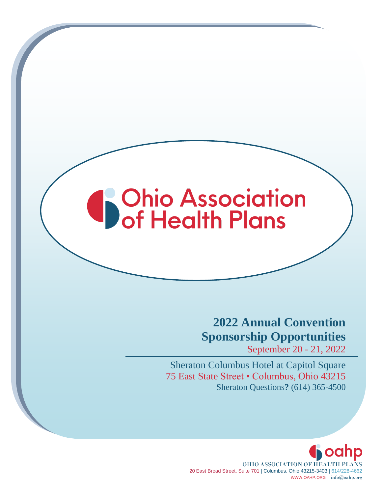# **S**Ohio Association

## **2022 Annual Convention Sponsorship Opportunities**

September 20 - 21, 2022

Sheraton Columbus Hotel at Capitol Square 75 East State Street • Columbus, Ohio 43215 Sheraton Questions**?** (614) 365-4500

> **G** oahp OHIO ASSOCIATION OF HEALTH PLANS 20 East Broad Street, Suite 701 | Columbus, Ohio 43215-3403 | 614/228-4662 WWW.OAHP.ORG | info@oahp.org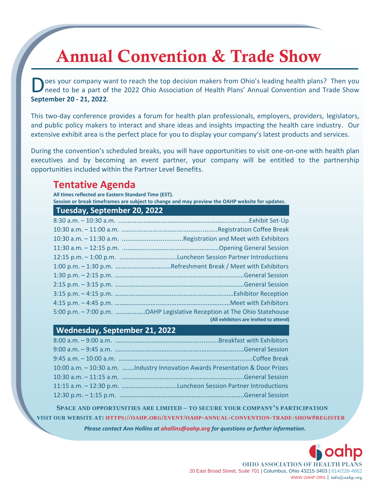# Annual Convention & Trade Show

oes your company want to reach the top decision makers from Ohio's leading health plans? Then you need to be a part of the 2022 Ohio Association of Health Plans' Annual Convention and Trade Show **September 20 - 21, 2022**. D

This two-day conference provides a forum for health plan professionals, employers, providers, legislators, and public policy makers to interact and share ideas and insights impacting the health care industry. Our extensive exhibit area is the perfect place for you to display your company's latest products and services.

During the convention's scheduled breaks, you will have opportunities to visit one-on-one with health plan executives and by becoming an event partner, your company will be entitled to the partnership opportunities included within the Partner Level Benefits.

### **Tentative Agenda**

**All times reflected are Eastern Standard Time (EST). Session or break timeframes are subject to change and may preview the [OAHP website](http://www.oahp.org/) for updates.**

| 5:00 p.m. - 7:00 p.m. OAHP Legislative Reception at The Ohio Statehouse |
|-------------------------------------------------------------------------|
| (All exhibitors are invited to attend)                                  |

**Wednesday, September 21, 2022**

| 10:00 a.m. - 10:30 a.m. Industry Innovation Awards Presentation & Door Prizes |  |
|-------------------------------------------------------------------------------|--|
|                                                                               |  |
|                                                                               |  |
|                                                                               |  |

**SPACE AND OPPORTUNITIES ARE LIMITED – TO SECURE YOUR COMPANY'S PARTICIPATION** VISIT OUR WEBSITE AT: HTTPS://OAHP.ORG/EVENT/OAHP-ANNUAL-CONVENTION-TRADE-SHOW#REGISTER

*Please contact Ann Hollins at ahollins@oahp.org for questions or further information.*

OHIO ASSOCIATION OF HEALTH PLANS 20 East Broad Street, Suite 701 | Columbus, Ohio 43215-3403 | 614/228-4662 WWW.OAHP.ORG | info@oahp.org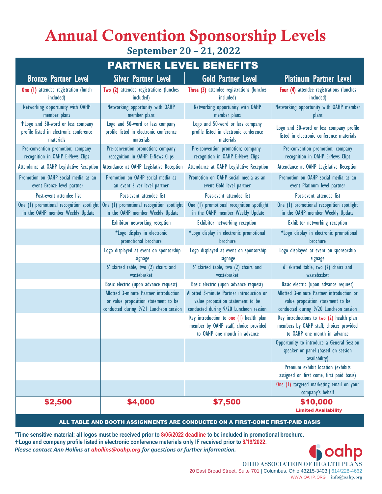## Annual Convention Sponsorship Levels **September 20 – 21, 2022**

#### PARTNER LEVEL BENEFITS

| <b>Bronze Partner Level</b>                                                               | <b>Silver Partner Level</b>                                                                                              | <b>Gold Partner Level</b>                                                                                                | <b>Platinum Partner Level</b>                                                                                            |
|-------------------------------------------------------------------------------------------|--------------------------------------------------------------------------------------------------------------------------|--------------------------------------------------------------------------------------------------------------------------|--------------------------------------------------------------------------------------------------------------------------|
| <b>One (I)</b> attendee registration (lunch<br>included)                                  | Two (2) attendee registrations (lunches<br>included)                                                                     | Three (3) attendee registrations (lunches<br>included)                                                                   | Four (4) attendee registrations (lunches<br>included)                                                                    |
| Networking opportunity with OAHP<br>member plans                                          | Networking opportunity with OAHP<br>member plans                                                                         | Networking opportunity with OAHP<br>member plans                                                                         | Networking opportunity with OAHP member<br>plans                                                                         |
| +Logo and 50-word or less company<br>profile listed in electronic conference<br>materials | Logo and 50-word or less company<br>profile listed in electronic conference<br>materials                                 | Logo and 50-word or less company<br>profile listed in electronic conference<br>materials                                 | Logo and 50-word or less company profile<br>listed in electronic conference materials                                    |
| Pre-convention promotion; company<br>recognition in OAHP E-News Clips                     | Pre-convention promotion; company<br>recognition in OAHP E-News Clips                                                    | Pre-convention promotion; company<br>recognition in OAHP E-News Clips                                                    | Pre-convention promotion; company<br>recognition in OAHP E-News Clips                                                    |
| Attendance at OAHP Legislative Reception                                                  | Attendance at OAHP Legislative Reception                                                                                 | Attendance at OAHP Legislative Reception                                                                                 | Attendance at OAHP Legislative Reception                                                                                 |
| Promotion on OAHP social media as an<br>event Bronze level partner                        | Promotion on OAHP social media as<br>an event Silver level partner                                                       | Promotion on OAHP social media as an<br>event Gold level partner                                                         | Promotion on OAHP social media as an<br>event Platinum level partner                                                     |
| Post-event attendee list                                                                  | Post-event attendee list                                                                                                 | Post-event attendee list                                                                                                 | Post-event attendee list                                                                                                 |
| One (1) promotional recognition spotlight<br>in the OAHP member Weekly Update             | One (1) promotional recognition spotlight<br>in the OAHP member Weekly Update                                            | One (1) promotional recognition spotlight<br>in the OAHP member Weekly Update                                            | One (1) promotional recognition spotlight<br>in the OAHP member Weekly Update                                            |
|                                                                                           | <b>Exhibitor networking reception</b>                                                                                    | Exhibitor networking reception                                                                                           | <b>Exhibitor networking reception</b>                                                                                    |
|                                                                                           | *Logo display in electronic<br>promotional brochure                                                                      | *Logo display in electronic promotional<br>brochure                                                                      | *Logo display in electronic promotional<br>brochure                                                                      |
|                                                                                           | Logo displayed at event on sponsorship<br>signage                                                                        | Logo displayed at event on sponsorship<br>signage                                                                        | Logo displayed at event on sponsorship<br>signage                                                                        |
|                                                                                           | 6' skirted table, two (2) chairs and<br>wastebasket                                                                      | 6' skirted table, two (2) chairs and<br>wastebasket                                                                      | 6' skirted table, two (2) chairs and<br>wastebasket                                                                      |
|                                                                                           | Basic electric (upon advance request)                                                                                    | Basic electric (upon advance request)                                                                                    | Basic electric (upon advance request)                                                                                    |
|                                                                                           | Allotted 3-minute Partner introduction<br>or value proposition statement to be<br>conducted during 9/21 Luncheon session | Allotted 3-minute Partner introduction or<br>value proposition statement to be<br>conducted during 9/20 Luncheon session | Allotted 3-minute Partner introduction or<br>value proposition statement to be<br>conducted during 9/20 Luncheon session |
|                                                                                           |                                                                                                                          | Key introduction to one (1) health plan<br>member by OAHP staff; choice provided<br>to OAHP one month in advance         | Key introductions to two (2) health plan<br>members by OAHP staff; choices provided<br>to OAHP one month in advance      |
|                                                                                           |                                                                                                                          |                                                                                                                          | Opportunity to introduce a General Session<br>speaker or panel (based on session<br>availability)                        |
|                                                                                           |                                                                                                                          |                                                                                                                          | Premium exhibit location (exhibits<br>assigned on first come, first paid basis)                                          |
|                                                                                           |                                                                                                                          |                                                                                                                          | One (1) targeted marketing email on your<br>company's behalf                                                             |
| \$2,500                                                                                   | \$4,000                                                                                                                  | \$7,500                                                                                                                  | \$10,000<br><b>Limited Availability</b>                                                                                  |

ALL TABLE AND BOOTH ASSIGNMENTS ARE CONDUCTED ON A FIRST-COME FIRST-PAID BASIS

**\*Time sensitive material: all logos must be received prior to 8/05/2022 deadline to be included in promotional brochure. Logo and company profile listed in electronic conference materials only IF received prior to 8/19/2022.** *Please contact Ann Hollins at ahollins@oahp.org for questions or further information.*



OHIO ASSOCIATION OF HEALTH PLANS 20 East Broad Street, Suite 701 | Columbus, Ohio 43215-3403 | 614/228-4662 WWW.OAHP.ORG | info@oahp.org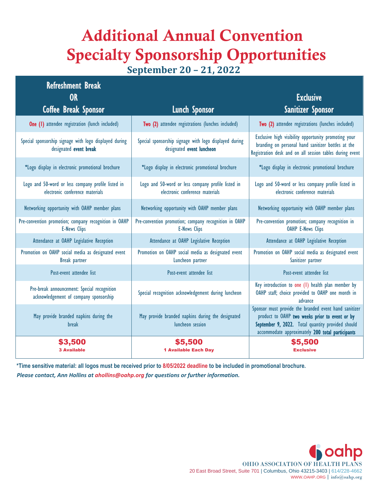# Additional Annual Convention Specialty Sponsorship Opportunities

**September 20 – 21, 2022**

| <b>Refreshment Break</b><br><b>OR</b>                                                 |                                                                                       | <b>Exclusive</b>                                                                                                                                                                                                 |
|---------------------------------------------------------------------------------------|---------------------------------------------------------------------------------------|------------------------------------------------------------------------------------------------------------------------------------------------------------------------------------------------------------------|
| <b>Coffee Break Sponsor</b>                                                           | <b>Lunch Sponsor</b>                                                                  | Sanitizer Sponsor                                                                                                                                                                                                |
| <b>One (I)</b> attendee registration (lunch included)                                 | Two (2) attendee registrations (lunches included)                                     | Two (2) attendee registrations (lunches included)                                                                                                                                                                |
| Special sponsorship signage with logo displayed during<br>designated event break      | Special sponsorship signage with logo displayed during<br>designated event luncheon   | Exclusive high visibility opportunity promoting your<br>branding on personal hand sanitizer bottles at the<br>Registration desk and on all session tables during event                                           |
| *Logo display in electronic promotional brochure                                      | *Logo display in electronic promotional brochure                                      | *Logo display in electronic promotional brochure                                                                                                                                                                 |
| Logo and 50-word or less company profile listed in<br>electronic conference materials | Logo and 50-word or less company profile listed in<br>electronic conference materials | Logo and 50-word or less company profile listed in<br>electronic conference materials                                                                                                                            |
| Networking opportunity with OAHP member plans                                         | Networking opportunity with OAHP member plans                                         | Networking opportunity with OAHP member plans                                                                                                                                                                    |
| Pre-convention promotion; company recognition in OAHP<br><b>E-News Clips</b>          | Pre-convention promotion; company recognition in OAHP<br><b>E-News Clips</b>          | Pre-convention promotion; company recognition in<br><b>OAHP E-News Clips</b>                                                                                                                                     |
| Attendance at OAHP Legislative Reception                                              | Attendance at OAHP Legislative Reception                                              | Attendance at OAHP Legislative Reception                                                                                                                                                                         |
| Promotion on OAHP social media as designated event<br><b>Break</b> partner            | Promotion on OAHP social media as designated event<br>Luncheon partner                | Promotion on OAHP social media as designated event<br>Sanitizer partner                                                                                                                                          |
| Post-event attendee list                                                              | Post-event attendee list                                                              | Post-event attendee list                                                                                                                                                                                         |
| Pre-break announcement: Special recognition<br>acknowledgement of company sponsorship | Special recognition acknowledgement during luncheon                                   | Key introduction to one (1) health plan member by<br>OAHP staff; choice provided to OAHP one month in<br>advance                                                                                                 |
| May provide branded napkins during the<br><b>break</b>                                | May provide branded napkins during the designated<br>luncheon session                 | Sponsor must provide the branded event hand sanitizer<br>product to OAHP two weeks prior to event or by<br>September 9, 2022. Total quantity provided should<br>accommodate approximately 200 total participants |
| \$3,500                                                                               | \$5,500                                                                               | \$5,500                                                                                                                                                                                                          |
| <b>3 Available</b>                                                                    | <b>1 Available Each Day</b>                                                           | <b>Exclusive</b>                                                                                                                                                                                                 |

**\*Time sensitive material: all logos must be received prior to 8/05/2022 deadline to be included in promotional brochure.** *Please contact, Ann Hollins at ahollins@oahp.org for questions or further information.*

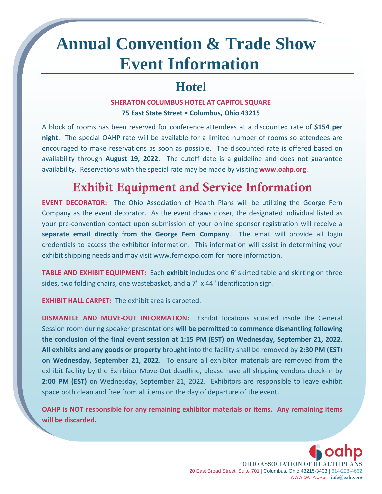# **Annual Convention & Trade Show Event Information**

## Hotel

#### **SHERATON COLUMBUS HOTEL AT CAPITOL SQUARE 75 East State Street • Columbus, Ohio 43215**

A block of rooms has been reserved for conference attendees at a discounted rate of **\$154 per night**. The special OAHP rate will be available for a limited number of rooms so attendees are encouraged to make reservations as soon as possible. The discounted rate is offered based on availability through **August 19, 2022**. The cutoff date is a guideline and does not guarantee availability. Reservations with the special rate may be made by visiting **www.oahp.org**.

## Exhibit Equipment and Service Information

**EVENT DECORATOR:** The Ohio Association of Health Plans will be utilizing the George Fern Company as the event decorator. As the event draws closer, the designated individual listed as your pre-convention contact upon submission of your online sponsor registration will receive a **separate email directly from the George Fern Company**. The email will provide all login credentials to access the exhibitor information. This information will assist in determining your exhibit shipping needs and may visit [www.fernexpo.com](http://www.fernexpo.com/) for more information.

**TABLE AND EXHIBIT EQUIPMENT:** Each **exhibit** includes one 6' skirted table and skirting on three sides, two folding chairs, one wastebasket, and a 7" x 44" identification sign.

**EXHIBIT HALL CARPET:** The exhibit area is carpeted.

**DISMANTLE AND MOVE-OUT INFORMATION:** Exhibit locations situated inside the General Session room during speaker presentations **will be permitted to commence dismantling following the conclusion of the final event session at 1:15 PM (EST) on Wednesday, September 21, 2022**. **All exhibits and any goods or property** brought into the facility shall be removed by **2:30 PM (EST) on Wednesday, September 21, 2022**. To ensure all exhibitor materials are removed from the exhibit facility by the Exhibitor Move-Out deadline, please have all shipping vendors check-in by **2:00 PM (EST)** on Wednesday, September 21, 2022. Exhibitors are responsible to leave exhibit space both clean and free from all items on the day of departure of the event.

**OAHP is NOT responsible for any remaining exhibitor materials or items. Any remaining items will be discarded.**

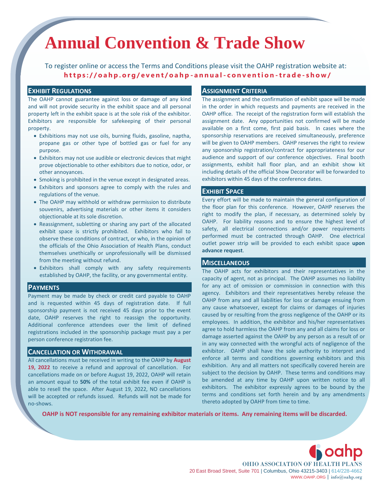# **Annual Convention & Trade Show**

To register online or access the Terms and Conditions please visit the OAHP registration website at: **[h t t p s : / / o a h p . o r g / e v e n t / o a h p](https://oahp.org/event/oahp-annual-convention-trade-show/) - a n n u a l - c o n v e n t i o n - t r a d e - s h o w /**

#### **EXHIBIT REGULATIONS**

The OAHP cannot guarantee against loss or damage of any kind and will not provide security in the exhibit space and all personal property left in the exhibit space is at the sole risk of the exhibitor. Exhibitors are responsible for safekeeping of their personal property.

- Exhibitions may not use oils, burning fluids, gasoline, naptha, propane gas or other type of bottled gas or fuel for any purpose.
- Exhibitors may not use audible or electronic devices that might prove objectionable to other exhibitors due to notice, odor, or other annoyances.
- Smoking is prohibited in the venue except in designated areas.
- Exhibitors and sponsors agree to comply with the rules and regulations of the venue.
- The OAHP may withhold or withdraw permission to distribute souvenirs, advertising materials or other items it considers objectionable at its sole discretion.
- Reassignment, subletting or sharing any part of the allocated exhibit space is strictly prohibited. Exhibitors who fail to observe these conditions of contract, or who, in the opinion of the officials of the Ohio Association of Health Plans, conduct themselves unethically or unprofessionally will be dismissed from the meeting without refund.
- Exhibitors shall comply with any safety requirements established by OAHP, the facility, or any governmental entity.

#### **PAYMENTS**

Payment may be made by check or credit card payable to OAHP and is requested within 45 days of registration date. If full sponsorship payment is not received 45 days prior to the event date, OAHP reserves the right to reassign the opportunity. Additional conference attendees over the limit of defined registrations included in the sponsorship package must pay a per person conference registration fee.

#### **CANCELLATION OR WITHDRAWAL**

All cancellations must be received in writing to the OAHP by **August 19, 2022** to receive a refund and approval of cancellation. For cancellations made on or before August 19, 2022, OAHP will retain an amount equal to **50%** of the total exhibit fee even if OAHP is able to resell the space. After August 19, 2022, NO cancellations will be accepted or refunds issued. Refunds will not be made for no-shows.

#### **ASSIGNMENT CRITERIA**

The assignment and the confirmation of exhibit space will be made in the order in which requests and payments are received in the OAHP office. The receipt of the registration form will establish the assignment date. Any opportunities not confirmed will be made available on a first come, first paid basis. In cases where the sponsorship reservations are received simultaneously, preference will be given to OAHP members. OAHP reserves the right to review any sponsorship registration/contract for appropriateness for our audience and support of our conference objectives. Final booth assignments, exhibit hall floor plan, and an exhibit show kit including details of the official Show Decorator will be forwarded to exhibitors within 45 days of the conference dates.

#### **EXHIBIT SPACE**

Every effort will be made to maintain the general configuration of the floor plan for this conference. However, OAHP reserves the right to modify the plan, if necessary, as determined solely by OAHP. For liability reasons and to ensure the highest level of safety, all electrical connections and/or power requirements performed must be contracted through OAHP. One electrical outlet power strip will be provided to each exhibit space **upon advance request**.

#### **MISCELLANEOUS**

The OAHP acts for exhibitors and their representatives in the capacity of agent, not as principal. The OAHP assumes no liability for any act of omission or commission in connection with this agency. Exhibitors and their representatives hereby release the OAHP from any and all liabilities for loss or damage ensuing from any cause whatsoever, except for claims or damages of injuries caused by or resulting from the gross negligence of the OAHP or its employees. In addition, the exhibitor and his/her representatives agree to hold harmless the OAHP from any and all claims for loss or damage asserted against the OAHP by any person as a result of or in any way connected with the wrongful acts of negligence of the exhibitor. OAHP shall have the sole authority to interpret and enforce all terms and conditions governing exhibitors and this exhibition. Any and all matters not specifically covered herein are subject to the decision by OAHP. These terms and conditions may be amended at any time by OAHP upon written notice to all exhibitors. The exhibitor expressly agrees to be bound by the terms and conditions set forth herein and by any amendments thereto adopted by OAHP from time to time.

**OAHP is NOT responsible for any remaining exhibitor materials or items. Any remaining items will be discarded.**